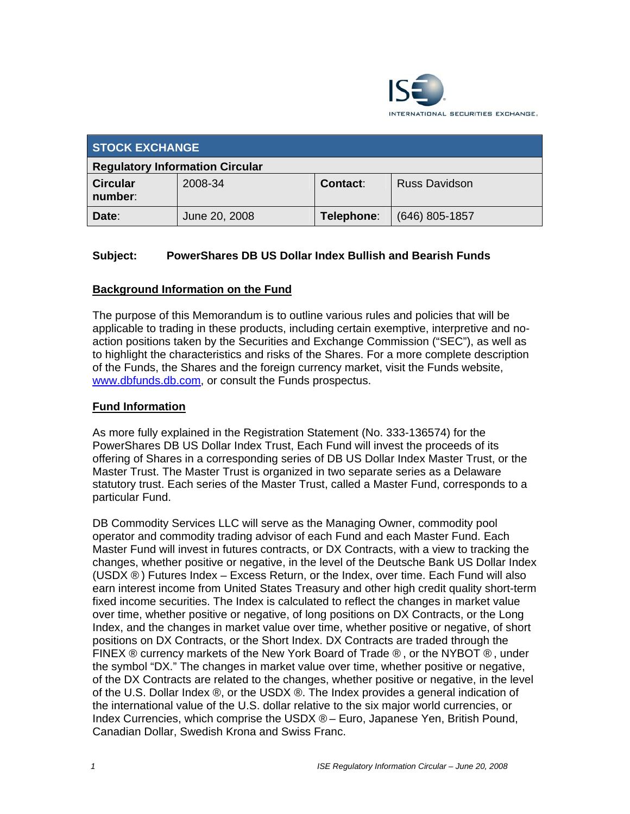

| <b>STOCK EXCHANGE</b>                  |               |                 |                      |  |
|----------------------------------------|---------------|-----------------|----------------------|--|
| <b>Regulatory Information Circular</b> |               |                 |                      |  |
| <b>Circular</b><br>number:             | 2008-34       | <b>Contact:</b> | <b>Russ Davidson</b> |  |
| Date:                                  | June 20, 2008 | Telephone:      | $(646)$ 805-1857     |  |

# **Subject: PowerShares DB US Dollar Index Bullish and Bearish Funds**

#### **Background Information on the Fund**

The purpose of this Memorandum is to outline various rules and policies that will be applicable to trading in these products, including certain exemptive, interpretive and noaction positions taken by the Securities and Exchange Commission ("SEC"), as well as to highlight the characteristics and risks of the Shares. For a more complete description of the Funds, the Shares and the foreign currency market, visit the Funds website, www.dbfunds.db.com, or consult the Funds prospectus.

### **Fund Information**

As more fully explained in the Registration Statement (No. 333-136574) for the PowerShares DB US Dollar Index Trust, Each Fund will invest the proceeds of its offering of Shares in a corresponding series of DB US Dollar Index Master Trust, or the Master Trust. The Master Trust is organized in two separate series as a Delaware statutory trust. Each series of the Master Trust, called a Master Fund, corresponds to a particular Fund.

DB Commodity Services LLC will serve as the Managing Owner, commodity pool operator and commodity trading advisor of each Fund and each Master Fund. Each Master Fund will invest in futures contracts, or DX Contracts, with a view to tracking the changes, whether positive or negative, in the level of the Deutsche Bank US Dollar Index (USDX  $\circledR$ ) Futures Index – Excess Return, or the Index, over time. Each Fund will also earn interest income from United States Treasury and other high credit quality short-term fixed income securities. The Index is calculated to reflect the changes in market value over time, whether positive or negative, of long positions on DX Contracts, or the Long Index, and the changes in market value over time, whether positive or negative, of short positions on DX Contracts, or the Short Index. DX Contracts are traded through the FINEX ® currency markets of the New York Board of Trade ® , or the NYBOT ® , under the symbol "DX." The changes in market value over time, whether positive or negative, of the DX Contracts are related to the changes, whether positive or negative, in the level of the U.S. Dollar Index ®, or the USDX ®. The Index provides a general indication of the international value of the U.S. dollar relative to the six major world currencies, or Index Currencies, which comprise the USDX ® – Euro, Japanese Yen, British Pound, Canadian Dollar, Swedish Krona and Swiss Franc.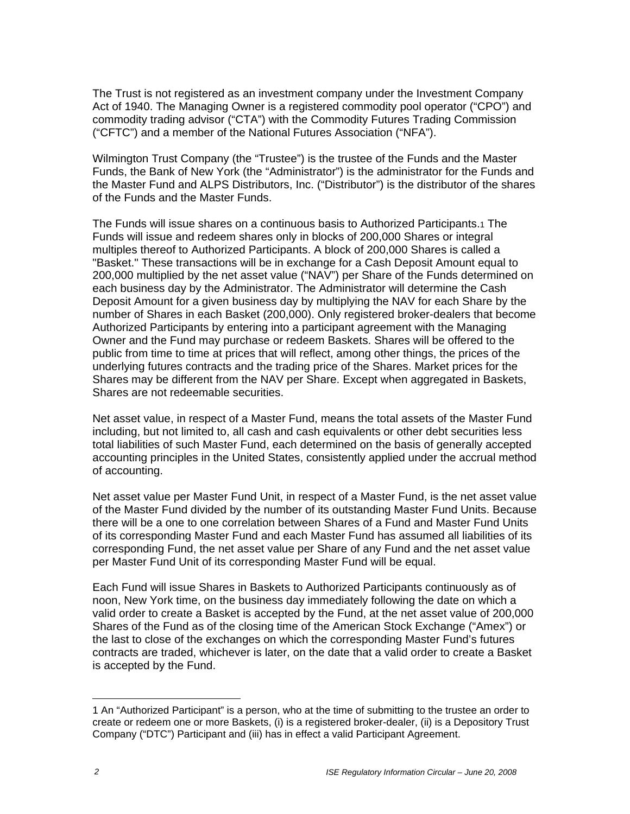The Trust is not registered as an investment company under the Investment Company Act of 1940. The Managing Owner is a registered commodity pool operator ("CPO") and commodity trading advisor ("CTA") with the Commodity Futures Trading Commission ("CFTC") and a member of the National Futures Association ("NFA").

Wilmington Trust Company (the "Trustee") is the trustee of the Funds and the Master Funds, the Bank of New York (the "Administrator") is the administrator for the Funds and the Master Fund and ALPS Distributors, Inc. ("Distributor") is the distributor of the shares of the Funds and the Master Funds.

The Funds will issue shares on a continuous basis to Authorized Participants.1 The Funds will issue and redeem shares only in blocks of 200,000 Shares or integral multiples thereof to Authorized Participants. A block of 200,000 Shares is called a "Basket." These transactions will be in exchange for a Cash Deposit Amount equal to 200,000 multiplied by the net asset value ("NAV") per Share of the Funds determined on each business day by the Administrator. The Administrator will determine the Cash Deposit Amount for a given business day by multiplying the NAV for each Share by the number of Shares in each Basket (200,000). Only registered broker-dealers that become Authorized Participants by entering into a participant agreement with the Managing Owner and the Fund may purchase or redeem Baskets. Shares will be offered to the public from time to time at prices that will reflect, among other things, the prices of the underlying futures contracts and the trading price of the Shares. Market prices for the Shares may be different from the NAV per Share. Except when aggregated in Baskets, Shares are not redeemable securities.

Net asset value, in respect of a Master Fund, means the total assets of the Master Fund including, but not limited to, all cash and cash equivalents or other debt securities less total liabilities of such Master Fund, each determined on the basis of generally accepted accounting principles in the United States, consistently applied under the accrual method of accounting.

Net asset value per Master Fund Unit, in respect of a Master Fund, is the net asset value of the Master Fund divided by the number of its outstanding Master Fund Units. Because there will be a one to one correlation between Shares of a Fund and Master Fund Units of its corresponding Master Fund and each Master Fund has assumed all liabilities of its corresponding Fund, the net asset value per Share of any Fund and the net asset value per Master Fund Unit of its corresponding Master Fund will be equal.

Each Fund will issue Shares in Baskets to Authorized Participants continuously as of noon, New York time, on the business day immediately following the date on which a valid order to create a Basket is accepted by the Fund, at the net asset value of 200,000 Shares of the Fund as of the closing time of the American Stock Exchange ("Amex") or the last to close of the exchanges on which the corresponding Master Fund's futures contracts are traded, whichever is later, on the date that a valid order to create a Basket is accepted by the Fund.

 $\overline{a}$ 

<sup>1</sup> An "Authorized Participant" is a person, who at the time of submitting to the trustee an order to create or redeem one or more Baskets, (i) is a registered broker-dealer, (ii) is a Depository Trust Company ("DTC") Participant and (iii) has in effect a valid Participant Agreement.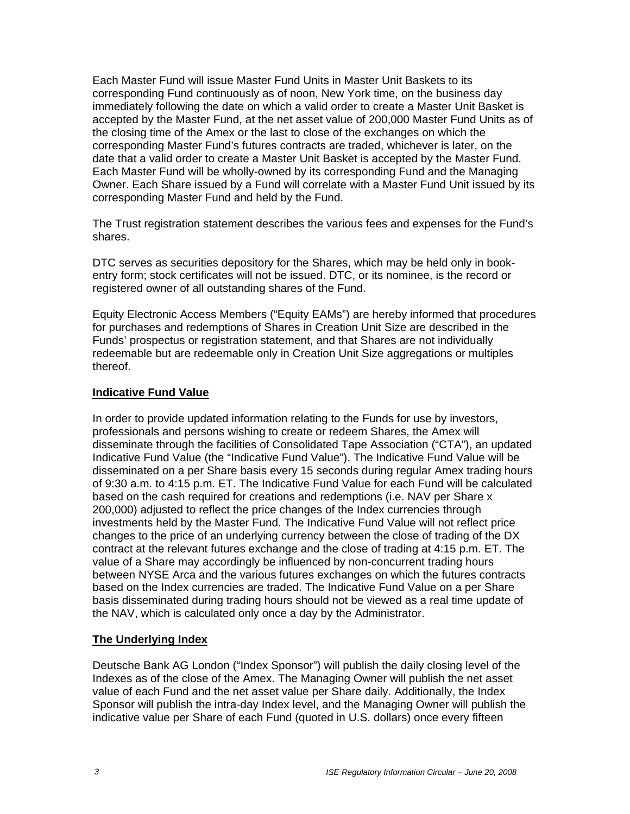Each Master Fund will issue Master Fund Units in Master Unit Baskets to its corresponding Fund continuously as of noon, New York time, on the business day immediately following the date on which a valid order to create a Master Unit Basket is accepted by the Master Fund, at the net asset value of 200,000 Master Fund Units as of the closing time of the Amex or the last to close of the exchanges on which the corresponding Master Fund's futures contracts are traded, whichever is later, on the date that a valid order to create a Master Unit Basket is accepted by the Master Fund. Each Master Fund will be wholly-owned by its corresponding Fund and the Managing Owner. Each Share issued by a Fund will correlate with a Master Fund Unit issued by its corresponding Master Fund and held by the Fund.

The Trust registration statement describes the various fees and expenses for the Fund's shares.

DTC serves as securities depository for the Shares, which may be held only in bookentry form; stock certificates will not be issued. DTC, or its nominee, is the record or registered owner of all outstanding shares of the Fund.

Equity Electronic Access Members ("Equity EAMs") are hereby informed that procedures for purchases and redemptions of Shares in Creation Unit Size are described in the Funds' prospectus or registration statement, and that Shares are not individually redeemable but are redeemable only in Creation Unit Size aggregations or multiples thereof.

#### **Indicative Fund Value**

In order to provide updated information relating to the Funds for use by investors, professionals and persons wishing to create or redeem Shares, the Amex will disseminate through the facilities of Consolidated Tape Association ("CTA"), an updated Indicative Fund Value (the "Indicative Fund Value"). The Indicative Fund Value will be disseminated on a per Share basis every 15 seconds during regular Amex trading hours of 9:30 a.m. to 4:15 p.m. ET. The Indicative Fund Value for each Fund will be calculated based on the cash required for creations and redemptions (i.e. NAV per Share x 200,000) adjusted to reflect the price changes of the Index currencies through investments held by the Master Fund. The Indicative Fund Value will not reflect price changes to the price of an underlying currency between the close of trading of the DX contract at the relevant futures exchange and the close of trading at 4:15 p.m. ET. The value of a Share may accordingly be influenced by non-concurrent trading hours between NYSE Arca and the various futures exchanges on which the futures contracts based on the Index currencies are traded. The Indicative Fund Value on a per Share basis disseminated during trading hours should not be viewed as a real time update of the NAV, which is calculated only once a day by the Administrator.

## **The Underlying Index**

Deutsche Bank AG London ("Index Sponsor") will publish the daily closing level of the Indexes as of the close of the Amex. The Managing Owner will publish the net asset value of each Fund and the net asset value per Share daily. Additionally, the Index Sponsor will publish the intra-day Index level, and the Managing Owner will publish the indicative value per Share of each Fund (quoted in U.S. dollars) once every fifteen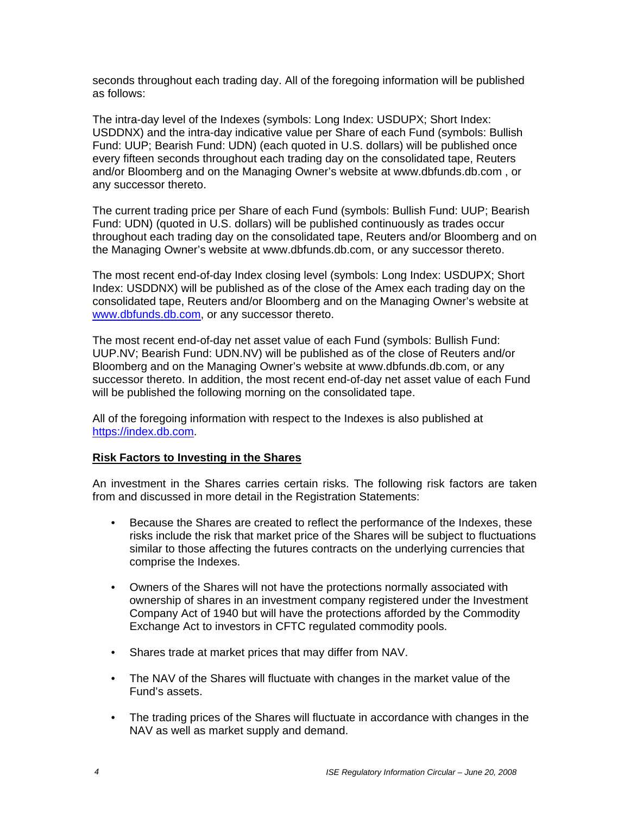seconds throughout each trading day. All of the foregoing information will be published as follows:

The intra-day level of the Indexes (symbols: Long Index: USDUPX; Short Index: USDDNX) and the intra-day indicative value per Share of each Fund (symbols: Bullish Fund: UUP; Bearish Fund: UDN) (each quoted in U.S. dollars) will be published once every fifteen seconds throughout each trading day on the consolidated tape, Reuters and/or Bloomberg and on the Managing Owner's website at www.dbfunds.db.com , or any successor thereto.

The current trading price per Share of each Fund (symbols: Bullish Fund: UUP; Bearish Fund: UDN) (quoted in U.S. dollars) will be published continuously as trades occur throughout each trading day on the consolidated tape, Reuters and/or Bloomberg and on the Managing Owner's website at www.dbfunds.db.com, or any successor thereto.

The most recent end-of-day Index closing level (symbols: Long Index: USDUPX; Short Index: USDDNX) will be published as of the close of the Amex each trading day on the consolidated tape, Reuters and/or Bloomberg and on the Managing Owner's website at www.dbfunds.db.com, or any successor thereto.

The most recent end-of-day net asset value of each Fund (symbols: Bullish Fund: UUP.NV; Bearish Fund: UDN.NV) will be published as of the close of Reuters and/or Bloomberg and on the Managing Owner's website at www.dbfunds.db.com, or any successor thereto. In addition, the most recent end-of-day net asset value of each Fund will be published the following morning on the consolidated tape.

All of the foregoing information with respect to the Indexes is also published at https://index.db.com.

## **Risk Factors to Investing in the Shares**

An investment in the Shares carries certain risks. The following risk factors are taken from and discussed in more detail in the Registration Statements:

- Because the Shares are created to reflect the performance of the Indexes, these risks include the risk that market price of the Shares will be subject to fluctuations similar to those affecting the futures contracts on the underlying currencies that comprise the Indexes.
- Owners of the Shares will not have the protections normally associated with ownership of shares in an investment company registered under the Investment Company Act of 1940 but will have the protections afforded by the Commodity Exchange Act to investors in CFTC regulated commodity pools.
- Shares trade at market prices that may differ from NAV.
- The NAV of the Shares will fluctuate with changes in the market value of the Fund's assets.
- The trading prices of the Shares will fluctuate in accordance with changes in the NAV as well as market supply and demand.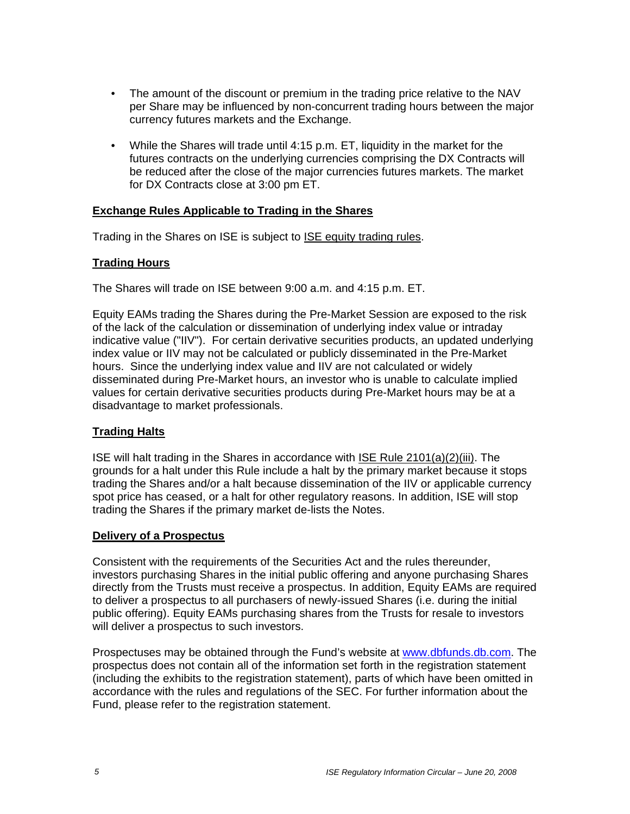- The amount of the discount or premium in the trading price relative to the NAV per Share may be influenced by non-concurrent trading hours between the major currency futures markets and the Exchange.
- While the Shares will trade until 4:15 p.m. ET, liquidity in the market for the futures contracts on the underlying currencies comprising the DX Contracts will be reduced after the close of the major currencies futures markets. The market for DX Contracts close at 3:00 pm ET.

## **Exchange Rules Applicable to Trading in the Shares**

Trading in the Shares on ISE is subject to ISE equity trading rules.

#### **Trading Hours**

The Shares will trade on ISE between 9:00 a.m. and 4:15 p.m. ET.

Equity EAMs trading the Shares during the Pre-Market Session are exposed to the risk of the lack of the calculation or dissemination of underlying index value or intraday indicative value ("IIV"). For certain derivative securities products, an updated underlying index value or IIV may not be calculated or publicly disseminated in the Pre-Market hours. Since the underlying index value and IIV are not calculated or widely disseminated during Pre-Market hours, an investor who is unable to calculate implied values for certain derivative securities products during Pre-Market hours may be at a disadvantage to market professionals.

## **Trading Halts**

ISE will halt trading in the Shares in accordance with ISE Rule 2101(a)(2)(iii). The grounds for a halt under this Rule include a halt by the primary market because it stops trading the Shares and/or a halt because dissemination of the IIV or applicable currency spot price has ceased, or a halt for other regulatory reasons. In addition, ISE will stop trading the Shares if the primary market de-lists the Notes.

#### **Delivery of a Prospectus**

Consistent with the requirements of the Securities Act and the rules thereunder, investors purchasing Shares in the initial public offering and anyone purchasing Shares directly from the Trusts must receive a prospectus. In addition, Equity EAMs are required to deliver a prospectus to all purchasers of newly-issued Shares (i.e. during the initial public offering). Equity EAMs purchasing shares from the Trusts for resale to investors will deliver a prospectus to such investors.

Prospectuses may be obtained through the Fund's website at www.dbfunds.db.com. The prospectus does not contain all of the information set forth in the registration statement (including the exhibits to the registration statement), parts of which have been omitted in accordance with the rules and regulations of the SEC. For further information about the Fund, please refer to the registration statement.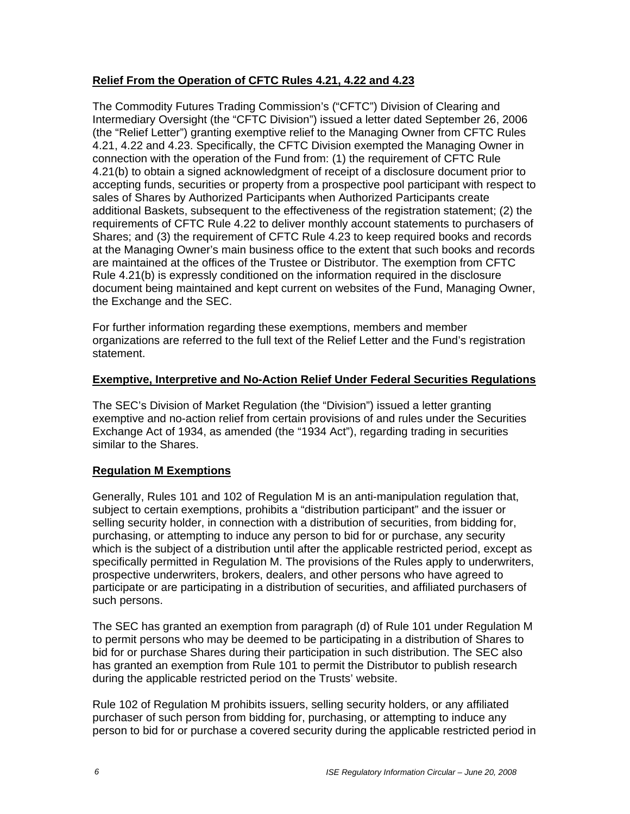# **Relief From the Operation of CFTC Rules 4.21, 4.22 and 4.23**

The Commodity Futures Trading Commission's ("CFTC") Division of Clearing and Intermediary Oversight (the "CFTC Division") issued a letter dated September 26, 2006 (the "Relief Letter") granting exemptive relief to the Managing Owner from CFTC Rules 4.21, 4.22 and 4.23. Specifically, the CFTC Division exempted the Managing Owner in connection with the operation of the Fund from: (1) the requirement of CFTC Rule 4.21(b) to obtain a signed acknowledgment of receipt of a disclosure document prior to accepting funds, securities or property from a prospective pool participant with respect to sales of Shares by Authorized Participants when Authorized Participants create additional Baskets, subsequent to the effectiveness of the registration statement; (2) the requirements of CFTC Rule 4.22 to deliver monthly account statements to purchasers of Shares; and (3) the requirement of CFTC Rule 4.23 to keep required books and records at the Managing Owner's main business office to the extent that such books and records are maintained at the offices of the Trustee or Distributor. The exemption from CFTC Rule 4.21(b) is expressly conditioned on the information required in the disclosure document being maintained and kept current on websites of the Fund, Managing Owner, the Exchange and the SEC.

For further information regarding these exemptions, members and member organizations are referred to the full text of the Relief Letter and the Fund's registration statement.

#### **Exemptive, Interpretive and No-Action Relief Under Federal Securities Regulations**

The SEC's Division of Market Regulation (the "Division") issued a letter granting exemptive and no-action relief from certain provisions of and rules under the Securities Exchange Act of 1934, as amended (the "1934 Act"), regarding trading in securities similar to the Shares.

## **Regulation M Exemptions**

Generally, Rules 101 and 102 of Regulation M is an anti-manipulation regulation that, subject to certain exemptions, prohibits a "distribution participant" and the issuer or selling security holder, in connection with a distribution of securities, from bidding for, purchasing, or attempting to induce any person to bid for or purchase, any security which is the subject of a distribution until after the applicable restricted period, except as specifically permitted in Regulation M. The provisions of the Rules apply to underwriters, prospective underwriters, brokers, dealers, and other persons who have agreed to participate or are participating in a distribution of securities, and affiliated purchasers of such persons.

The SEC has granted an exemption from paragraph (d) of Rule 101 under Regulation M to permit persons who may be deemed to be participating in a distribution of Shares to bid for or purchase Shares during their participation in such distribution. The SEC also has granted an exemption from Rule 101 to permit the Distributor to publish research during the applicable restricted period on the Trusts' website.

Rule 102 of Regulation M prohibits issuers, selling security holders, or any affiliated purchaser of such person from bidding for, purchasing, or attempting to induce any person to bid for or purchase a covered security during the applicable restricted period in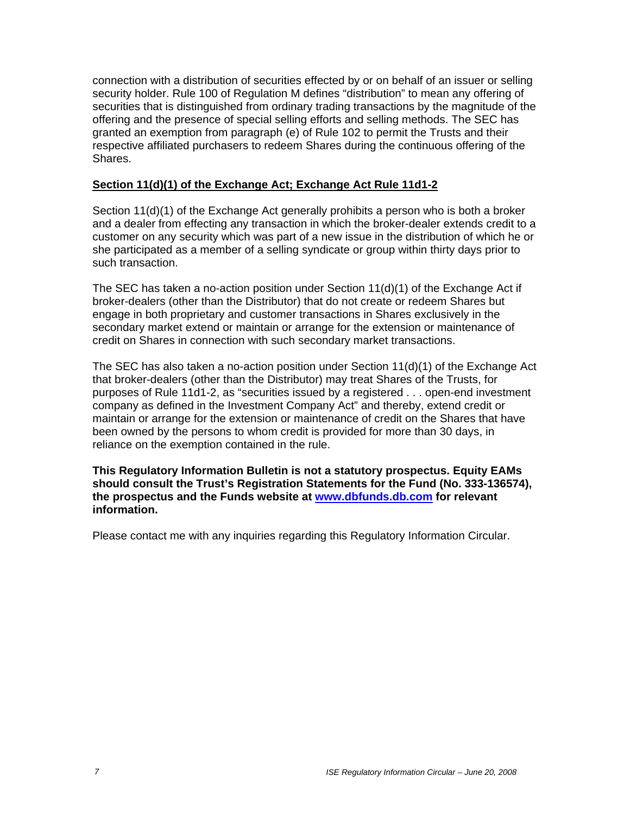connection with a distribution of securities effected by or on behalf of an issuer or selling security holder. Rule 100 of Regulation M defines "distribution" to mean any offering of securities that is distinguished from ordinary trading transactions by the magnitude of the offering and the presence of special selling efforts and selling methods. The SEC has granted an exemption from paragraph (e) of Rule 102 to permit the Trusts and their respective affiliated purchasers to redeem Shares during the continuous offering of the Shares.

## **Section 11(d)(1) of the Exchange Act; Exchange Act Rule 11d1-2**

Section 11(d)(1) of the Exchange Act generally prohibits a person who is both a broker and a dealer from effecting any transaction in which the broker-dealer extends credit to a customer on any security which was part of a new issue in the distribution of which he or she participated as a member of a selling syndicate or group within thirty days prior to such transaction.

The SEC has taken a no-action position under Section 11(d)(1) of the Exchange Act if broker-dealers (other than the Distributor) that do not create or redeem Shares but engage in both proprietary and customer transactions in Shares exclusively in the secondary market extend or maintain or arrange for the extension or maintenance of credit on Shares in connection with such secondary market transactions.

The SEC has also taken a no-action position under Section  $11(d)(1)$  of the Exchange Act that broker-dealers (other than the Distributor) may treat Shares of the Trusts, for purposes of Rule 11d1-2, as "securities issued by a registered . . . open-end investment company as defined in the Investment Company Act" and thereby, extend credit or maintain or arrange for the extension or maintenance of credit on the Shares that have been owned by the persons to whom credit is provided for more than 30 days, in reliance on the exemption contained in the rule.

**This Regulatory Information Bulletin is not a statutory prospectus. Equity EAMs should consult the Trust's Registration Statements for the Fund (No. 333-136574), the prospectus and the Funds website at www.dbfunds.db.com for relevant information.** 

Please contact me with any inquiries regarding this Regulatory Information Circular.